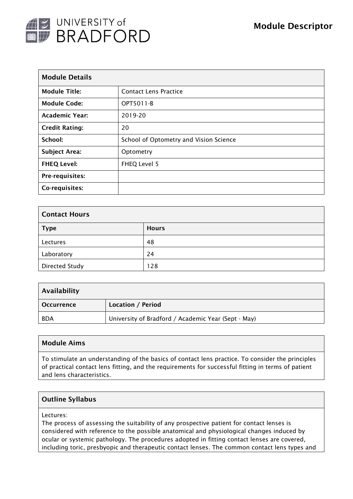

| <b>Module Details</b> |                                        |  |  |  |
|-----------------------|----------------------------------------|--|--|--|
| <b>Module Title:</b>  | <b>Contact Lens Practice</b>           |  |  |  |
| <b>Module Code:</b>   | OPT5011-B                              |  |  |  |
| <b>Academic Year:</b> | 2019-20                                |  |  |  |
| <b>Credit Rating:</b> | 20                                     |  |  |  |
| School:               | School of Optometry and Vision Science |  |  |  |
| <b>Subject Area:</b>  | Optometry                              |  |  |  |
| <b>FHEQ Level:</b>    | FHEQ Level 5                           |  |  |  |
| Pre-requisites:       |                                        |  |  |  |
| Co-requisites:        |                                        |  |  |  |

| <b>Contact Hours</b>  |              |  |  |  |
|-----------------------|--------------|--|--|--|
| <b>Type</b>           | <b>Hours</b> |  |  |  |
| Lectures              | 48           |  |  |  |
| Laboratory            | 24           |  |  |  |
| <b>Directed Study</b> | 128          |  |  |  |

| Availability      |                                                     |  |
|-------------------|-----------------------------------------------------|--|
| <b>Occurrence</b> | Location / Period                                   |  |
| <b>BDA</b>        | University of Bradford / Academic Year (Sept - May) |  |

## Module Aims

To stimulate an understanding of the basics of contact lens practice. To consider the principles of practical contact lens fitting, and the requirements for successful fitting in terms of patient and lens characteristics.

## Outline Syllabus

Lectures:

The process of assessing the suitability of any prospective patient for contact lenses is considered with reference to the possible anatomical and physiological changes induced by ocular or systemic pathology. The procedures adopted in fitting contact lenses are covered, including toric, presbyopic and therapeutic contact lenses. The common contact lens types and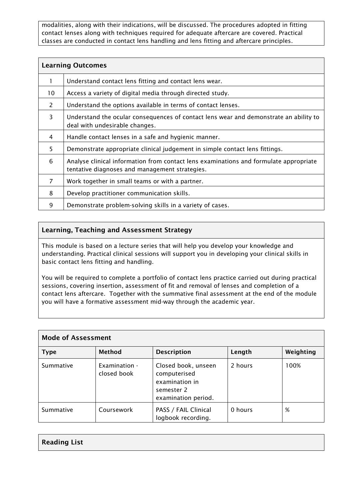modalities, along with their indications, will be discussed. The procedures adopted in fitting contact lenses along with techniques required for adequate aftercare are covered. Practical classes are conducted in contact lens handling and lens fitting and aftercare principles.

| <b>Learning Outcomes</b> |                                                                                                                                         |  |
|--------------------------|-----------------------------------------------------------------------------------------------------------------------------------------|--|
|                          | Understand contact lens fitting and contact lens wear.                                                                                  |  |
| 10                       | Access a variety of digital media through directed study.                                                                               |  |
| $\overline{2}$           | Understand the options available in terms of contact lenses.                                                                            |  |
| 3                        | Understand the ocular consequences of contact lens wear and demonstrate an ability to<br>deal with undesirable changes.                 |  |
| 4                        | Handle contact lenses in a safe and hygienic manner.                                                                                    |  |
| 5                        | Demonstrate appropriate clinical judgement in simple contact lens fittings.                                                             |  |
| 6                        | Analyse clinical information from contact lens examinations and formulate appropriate<br>tentative diagnoses and management strategies. |  |
| $\overline{7}$           | Work together in small teams or with a partner.                                                                                         |  |
| 8                        | Develop practitioner communication skills.                                                                                              |  |
| 9                        | Demonstrate problem-solving skills in a variety of cases.                                                                               |  |

## Learning, Teaching and Assessment Strategy

This module is based on a lecture series that will help you develop your knowledge and understanding. Practical clinical sessions will support you in developing your clinical skills in basic contact lens fitting and handling.

You will be required to complete a portfolio of contact lens practice carried out during practical sessions, covering insertion, assessment of fit and removal of lenses and completion of a contact lens aftercare. Together with the summative final assessment at the end of the module you will have a formative assessment mid-way through the academic year.

| <b>Mode of Assessment</b> |                              |                                                                                            |         |           |  |  |  |
|---------------------------|------------------------------|--------------------------------------------------------------------------------------------|---------|-----------|--|--|--|
| <b>Type</b>               | <b>Method</b>                | <b>Description</b>                                                                         | Length  | Weighting |  |  |  |
| Summative                 | Examination -<br>closed book | Closed book, unseen<br>computerised<br>examination in<br>semester 2<br>examination period. | 2 hours | 100%      |  |  |  |
| Summative                 | Coursework                   | PASS / FAIL Clinical<br>logbook recording.                                                 | 0 hours | %         |  |  |  |

| <b>Reading List</b> |  |
|---------------------|--|
|---------------------|--|